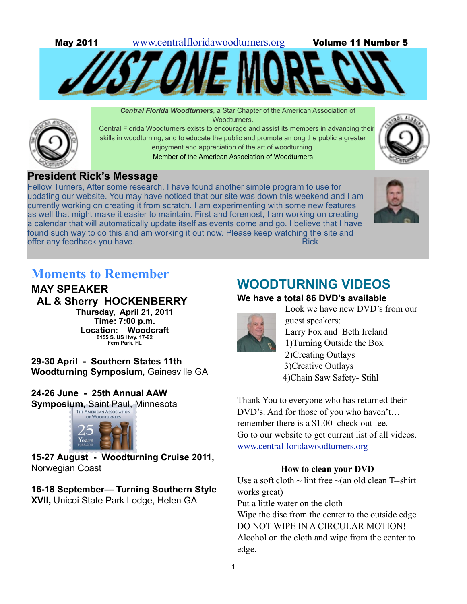

 *Central Florida Woodturners*, a Star Chapter of the American Association of **Woodturners** 

 Central Florida Woodturners exists to encourage and assist its members in advancing their skills in woodturning, and to educate the public and promote among the public a greater enjoyment and appreciation of the art of woodturning.

Member of the American Association of Woodturners



# **President Rick's Message**

Fellow Turners, After some research, I have found another simple program to use for updating our website. You may have noticed that our site was down this weekend and I am currently working on creating it from scratch. I am experimenting with some new features as well that might make it easier to maintain. First and foremost, I am working on creating a calendar that will automatically update itself as events come and go. I believe that I have found such way to do this and am working it out now. Please keep watching the site and offer any feedback you have. And the state of the state of the Rick



# **Moments to Remember**

**MAY SPEAKER AL & Sherry HOCKENBERRY Thursday, April 21, 2011 Time: 7:00 p.m. Location: Woodcraft 8155 S. US Hwy. 17-92 Fern Park, FL**

**29-30 April - Southern States 11th Woodturning Symposium,** Gainesville GA

**24-26 June - 25th Annual AAW Symposium, Saint Paul, Minnesota** 



**15-27 August - Woodturning Cruise 2011,**  Norwegian Coast

# **16-18 September— Turning Southern Style XVII,** Unicoi State Park Lodge, Helen GA

# **WOODTURNING VIDEOS**

# **We have a total 86 DVD's available**



Look we have new DVD's from our guest speakers: Larry Fox and Beth Ireland 1)Turning Outside the Box 2)Creating Outlays 3)Creative Outlays 4)Chain Saw Safety- Stihl

Thank You to everyone who has returned their DVD's. And for those of you who haven't… remember there is a \$1.00 check out fee. Go to our website to get current list of all videos[.](http://www.centralfloridawoodturners.org) [www.centralfloridawoodturners.org](http://www.centralfloridawoodturners.org)

# **How to clean your DVD**

Use a soft cloth  $\sim$  lint free  $\sim$ (an old clean T--shirt works great) Put a little water on the cloth Wipe the disc from the center to the outside edge DO NOT WIPE IN A CIRCULAR MOTION! Alcohol on the cloth and wipe from the center to edge.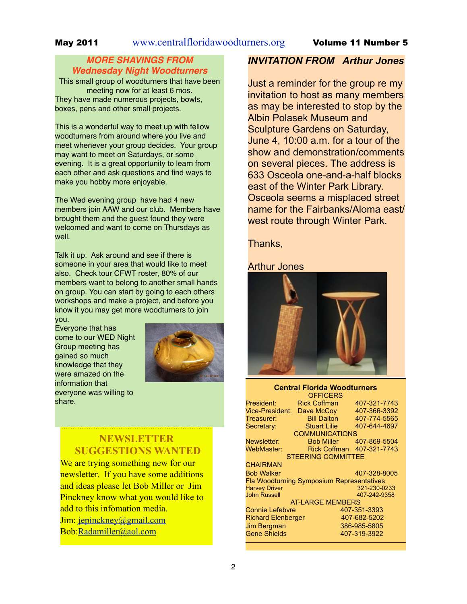# *MORE SHAVINGS FROM Wednesday Night Woodturners*

This small group of woodturners that have been meeting now for at least 6 mos. They have made numerous projects, bowls, boxes, pens and other small projects.

This is a wonderful way to meet up with fellow woodturners from around where you live and meet whenever your group decides. Your group may want to meet on Saturdays, or some evening. It is a great opportunity to learn from each other and ask questions and find ways to make you hobby more enjoyable.

The Wed evening group have had 4 new members join AAW and our club. Members have brought them and the guest found they were welcomed and want to come on Thursdays as well.

Talk it up. Ask around and see if there is someone in your area that would like to meet also. Check tour CFWT roster, 80% of our members want to belong to another small hands on group. You can start by going to each others workshops and make a project, and before you know it you may get more woodturners to join you.

Everyone that has come to our WED Night Group meeting has gained so much knowledge that they were amazed on the information that everyone was willing to share.



# **NEWSLETTER SUGGESTIONS WANTED**

We are trying something new for our newsletter. If you have some additions and ideas please let Bob Miller or Jim Pinckney know what you would like to add to this infomation media. Jim: [jepinckney@gmail.com](mailto:jepinckney@gmaiol.com) Bob[:Radamiller@aol.com](mailto:Radamiller@aol.com)

# *INVITATION FROM Arthur Jones*

Just a reminder for the group re my invitation to host as many members as may be interested to stop by the Albin Polasek Museum and Sculpture Gardens on Saturday, June 4, 10:00 a.m. for a tour of the show and demonstration/comments on several pieces. The address is 633 Osceola one-and-a-half blocks east of the Winter Park Library. Osceola seems a misplaced street name for the Fairbanks/Aloma east/ west route through Winter Park.

# Thanks,

### Arthur Jones



#### **Central Florida Woodturners OFFICERS**

| President:                                       | <b>Rick Coffman</b> | 407-321-7743 |  |  |
|--------------------------------------------------|---------------------|--------------|--|--|
| <b>Vice-President:</b>                           | Dave McCoy          | 407-366-3392 |  |  |
| Treasurer:                                       | <b>Bill Dalton</b>  | 407-774-5565 |  |  |
| Secretary:                                       | <b>Stuart Lilie</b> | 407-644-4697 |  |  |
| <b>COMMUNICATIONS</b>                            |                     |              |  |  |
| Newsletter:                                      | <b>Bob Miller</b>   | 407-869-5504 |  |  |
| WebMaster:                                       | <b>Rick Coffman</b> | 407-321-7743 |  |  |
| <b>STEERING COMMITTEE</b>                        |                     |              |  |  |
| <b>CHAIRMAN</b>                                  |                     |              |  |  |
| <b>Bob Walker</b>                                |                     | 407-328-8005 |  |  |
| <b>Fla Woodturning Symposium Representatives</b> |                     |              |  |  |
| <b>Harvey Driver</b>                             |                     | 321-230-0233 |  |  |
| <b>John Russell</b>                              |                     | 407-242-9358 |  |  |
| <b>AT-LARGE MEMBERS</b>                          |                     |              |  |  |
| <b>Connie Lefebvre</b>                           |                     | 407-351-3393 |  |  |
| <b>Richard Elenberger</b>                        |                     | 407-682-5202 |  |  |
| Jim Bergman                                      |                     | 386-985-5805 |  |  |
| <b>Gene Shields</b>                              |                     | 407-319-3922 |  |  |
|                                                  |                     |              |  |  |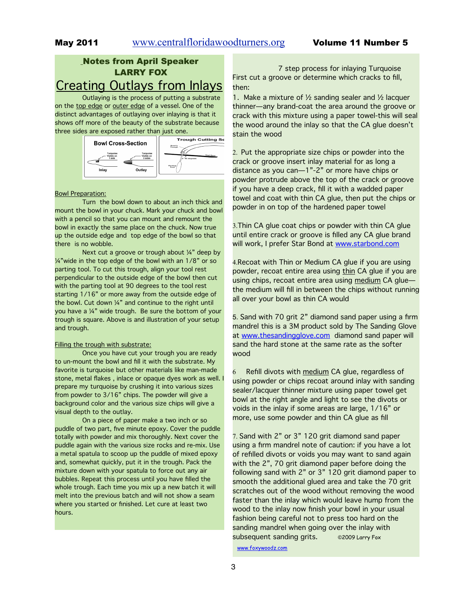# Notes from April Speaker LARRY FOX Creating Outlays from Inlays

Outlaying is the process of putting a substrate on the top edge or outer edge of a vessel. One of the distinct advantages of outlaying over inlaying is that it shows off more of the beauty of the substrate because three sides are exposed rather than just one.



#### Bowl Preparation:

Turn the bowl down to about an inch thick and mount the bowl in your chuck. Mark your chuck and bowl with a pencil so that you can mount and remount the bowl in exactly the same place on the chuck. Now true up the outside edge and top edge of the bowl so that there is no wobble.

Next cut a groove or trough about ¼" deep by ¼"wide in the top edge of the bowl with an 1/8" or so parting tool. To cut this trough, align your tool rest perpendicular to the outside edge of the bowl then cut with the parting tool at 90 degrees to the tool rest starting 1/16" or more away from the outside edge of the bowl. Cut down  $\frac{1}{4}$  and continue to the right until you have a ¼" wide trough. Be sure the bottom of your trough is square. Above is and illustration of your setup and trough.

#### Filling the trough with substrate:

Once you have cut your trough you are ready to un-mount the bowl and fill it with the substrate. My favorite is turquoise but other materials like man-made stone, metal flakes , inlace or opaque dyes work as well. I prepare my turquoise by crushing it into various sizes from powder to 3/16" chips. The powder will give a background color and the various size chips will give a visual depth to the outlay.

On a piece of paper make a two inch or so puddle of two part, five minute epoxy. Cover the puddle totally with powder and mix thoroughly. Next cover the puddle again with the various size rocks and re-mix. Use a metal spatula to scoop up the puddle of mixed epoxy and, somewhat quickly, put it in the trough. Pack the mixture down with your spatula to force out any air bubbles. Repeat this process until you have filled the whole trough. Each time you mix up a new batch it will melt into the previous batch and will not show a seam where you started or finished. Let cure at least two hours.

7 step process for inlaying Turquoise First cut a groove or determine which cracks to fill, then:

1. Make a mixture of  $\frac{1}{2}$  sanding sealer and  $\frac{1}{2}$  lacquer thinner—any brand-coat the area around the groove or crack with this mixture using a paper towel-this will seal the wood around the inlay so that the CA glue doesn't stain the wood

2. Put the appropriate size chips or powder into the crack or groove insert inlay material for as long a distance as you can—1"-2" or more have chips or powder protrude above the top of the crack or groove if you have a deep crack, fill it with a wadded paper towel and coat with thin CA glue, then put the chips or powder in on top of the hardened paper towel

3.Thin CA glue coat chips or powder with thin CA glue until entire crack or groove is filled any CA glue brand will work, I prefer Star Bond at [www.starbond.com](http://www.starbond.com)

4.Recoat with Thin or Medium CA glue if you are using powder, recoat entire area using thin CA glue if you are using chips, recoat entire area using medium CA gluethe medium will fill in between the chips without running all over your bowl as thin CA would

5. Sand with 70 grit 2" diamond sand paper using a firm mandrel this is a 3M product sold by The Sanding Glove at [www.thesandingglove.com](http://www.thesandingglove.com) diamond sand paper will sand the hard stone at the same rate as the softer wood

Refill divots with medium CA glue, regardless of using powder or chips recoat around inlay with sanding sealer/lacquer thinner mixture using paper towel get bowl at the right angle and light to see the divots or voids in the inlay if some areas are large, 1/16" or more, use some powder and thin CA glue as fill

7. Sand with 2" or 3" 120 grit diamond sand paper using a firm mandrel note of caution: if you have a lot of refilled divots or voids you may want to sand again with the 2", 70 grit diamond paper before doing the following sand with 2" or 3" 120 grit diamond paper to smooth the additional glued area and take the 70 grit scratches out of the wood without removing the wood faster than the inlay which would leave hump from the wood to the inlay now finish your bowl in your usual fashion being careful not to press too hard on the sanding mandrel when going over the inlay with subsequent sanding grits. ©2009 Larry Fox

[www.foxywoodz.com](http://www.foxywoodz.com)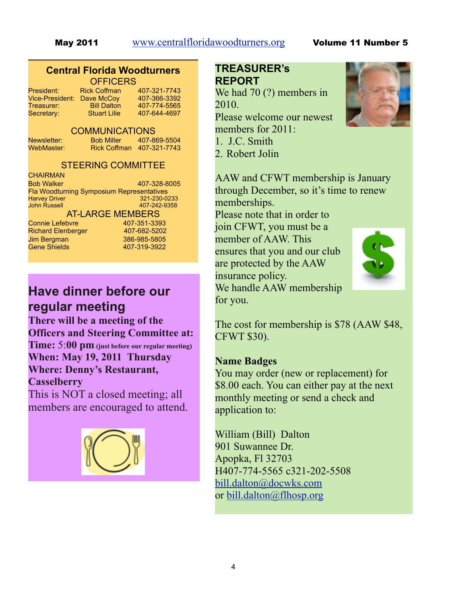### **Central Florida Woodturners OFFICERS**

| President:<br>Vice-President: | Rio<br>Da |
|-------------------------------|-----------|
| Treasurer:                    |           |
| Secretary:                    |           |

#### ck Coffman 407-321-7743 ve McCoy 407-366-3392 Bill Dalton 407-774-5565 Stuart Lilie 407-644-4697

### COMMUNICATIONS

Newsletter: Bob Miller 407-869-5504 WebMaster: Rick Coffman 407-321-7743

# STEERING COMMITTEE

| <b>CHAIRMAN</b>                                  |              |  |
|--------------------------------------------------|--------------|--|
| <b>Bob Walker</b>                                | 407-328-8005 |  |
| <b>Fla Woodturning Symposium Representatives</b> |              |  |
| <b>Harvey Driver</b>                             | 321-230-0233 |  |
| <b>John Russell</b>                              | 407-242-9358 |  |
| <b>AT-LARGE MEMBERS</b>                          |              |  |

Connie Lefebvre 407-351-3393 Richard Elenberger 407-682-5202 Jim Bergman 386-985-5805 Gene Shields 407-319-3922

# **Have dinner before our regular meeting**

**There will be a meeting of the Officers and Steering Committee at: Time:** 5:**00 pm (just before our regular meeting) When: May 19, 2011 Thursday Where: Denny's Restaurant, Casselberry**

This is NOT a closed meeting; all members are encouraged to attend.



# **TREASURER's REPORT**

We had 70  $(?)$  members in 2010. Please welcome our newest members for 2011: 1. J.C. Smith 2. Robert Jolin



Please note that in order to join CFWT, you must be a member of AAW. This ensures that you and our club are protected by the AAW insurance policy. We handle AAW membership for you.



The cost for membership is \$78 (AAW \$48, CFWT \$30).

# **Name Badges**

You may order (new or replacement) for \$8.00 each. You can either pay at the next monthly meeting or send a check and application to:

William (Bill) Dalton 901 Suwannee Dr. Apopka, Fl 32703 H407-774-5565 c321-202-5508 [bill.dalton@docwks.com](mailto:bill.dalton@docwks.com) or [bill.dalton@flhosp.org](mailto:bill.dalton@flhosp.org)